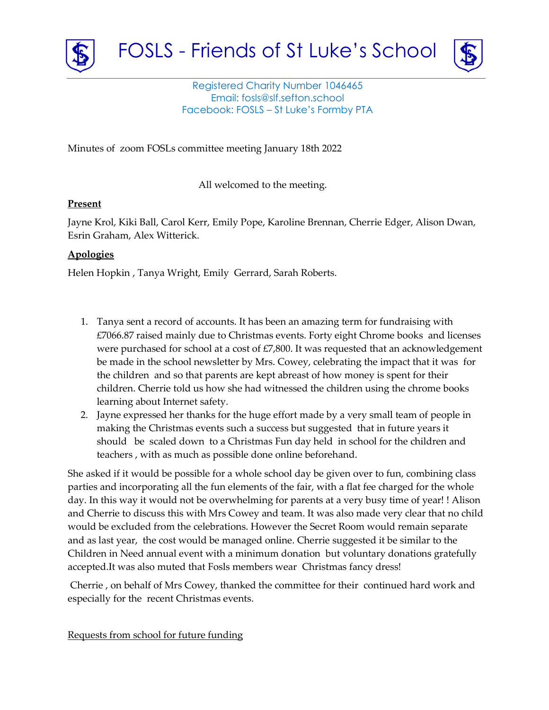



Registered Charity Number 1046465 Email: fosls@slf.sefton.school Facebook: FOSLS – St Luke's Formby PTA

Minutes of zoom FOSLs committee meeting January 18th 2022

All welcomed to the meeting.

## **Present**

Jayne Krol, Kiki Ball, Carol Kerr, Emily Pope, Karoline Brennan, Cherrie Edger, Alison Dwan, Esrin Graham, Alex Witterick.

# **Apologies**

Helen Hopkin , Tanya Wright, Emily Gerrard, Sarah Roberts.

- 1. Tanya sent a record of accounts. It has been an amazing term for fundraising with £7066.87 raised mainly due to Christmas events. Forty eight Chrome books and licenses were purchased for school at a cost of £7,800. It was requested that an acknowledgement be made in the school newsletter by Mrs. Cowey, celebrating the impact that it was for the children and so that parents are kept abreast of how money is spent for their children. Cherrie told us how she had witnessed the children using the chrome books learning about Internet safety.
- 2. Jayne expressed her thanks for the huge effort made by a very small team of people in making the Christmas events such a success but suggested that in future years it should be scaled down to a Christmas Fun day held in school for the children and teachers , with as much as possible done online beforehand.

She asked if it would be possible for a whole school day be given over to fun, combining class parties and incorporating all the fun elements of the fair, with a flat fee charged for the whole day. In this way it would not be overwhelming for parents at a very busy time of year! ! Alison and Cherrie to discuss this with Mrs Cowey and team. It was also made very clear that no child would be excluded from the celebrations. However the Secret Room would remain separate and as last year, the cost would be managed online. Cherrie suggested it be similar to the Children in Need annual event with a minimum donation but voluntary donations gratefully accepted.It was also muted that Fosls members wear Christmas fancy dress!

Cherrie , on behalf of Mrs Cowey, thanked the committee for their continued hard work and especially for the recent Christmas events.

Requests from school for future funding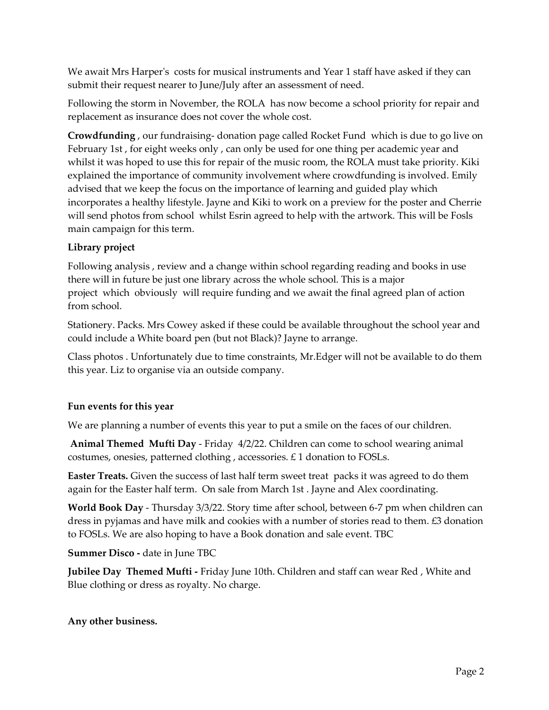We await Mrs Harper's costs for musical instruments and Year 1 staff have asked if they can submit their request nearer to June/July after an assessment of need.

Following the storm in November, the ROLA has now become a school priority for repair and replacement as insurance does not cover the whole cost.

**Crowdfunding** , our fundraising- donation page called Rocket Fund which is due to go live on February 1st , for eight weeks only , can only be used for one thing per academic year and whilst it was hoped to use this for repair of the music room, the ROLA must take priority. Kiki explained the importance of community involvement where crowdfunding is involved. Emily advised that we keep the focus on the importance of learning and guided play which incorporates a healthy lifestyle. Jayne and Kiki to work on a preview for the poster and Cherrie will send photos from school whilst Esrin agreed to help with the artwork. This will be Fosls main campaign for this term.

# **Library project**

Following analysis , review and a change within school regarding reading and books in use there will in future be just one library across the whole school. This is a major project which obviously will require funding and we await the final agreed plan of action from school.

Stationery. Packs. Mrs Cowey asked if these could be available throughout the school year and could include a White board pen (but not Black)? Jayne to arrange.

Class photos . Unfortunately due to time constraints, Mr.Edger will not be available to do them this year. Liz to organise via an outside company.

# **Fun events for this year**

We are planning a number of events this year to put a smile on the faces of our children.

**Animal Themed Mufti Day** - Friday 4/2/22. Children can come to school wearing animal costumes, onesies, patterned clothing , accessories. £ 1 donation to FOSLs.

**Easter Treats.** Given the success of last half term sweet treat packs it was agreed to do them again for the Easter half term. On sale from March 1st . Jayne and Alex coordinating.

**World Book Day** - Thursday 3/3/22. Story time after school, between 6-7 pm when children can dress in pyjamas and have milk and cookies with a number of stories read to them. £3 donation to FOSLs. We are also hoping to have a Book donation and sale event. TBC

**Summer Disco -** date in June TBC

**Jubilee Day Themed Mufti -** Friday June 10th. Children and staff can wear Red , White and Blue clothing or dress as royalty. No charge.

# **Any other business.**